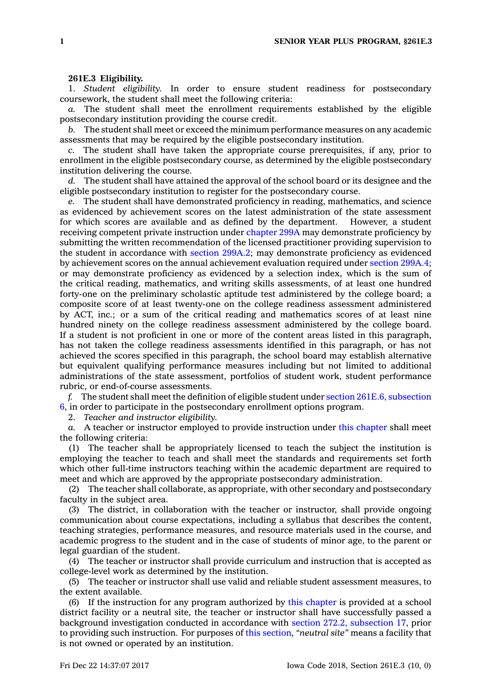## **261E.3 Eligibility.**

1. *Student eligibility.* In order to ensure student readiness for postsecondary coursework, the student shall meet the following criteria:

*a.* The student shall meet the enrollment requirements established by the eligible postsecondary institution providing the course credit.

*b.* The student shall meet or exceed the minimum performance measures on any academic assessments that may be required by the eligible postsecondary institution.

*c.* The student shall have taken the appropriate course prerequisites, if any, prior to enrollment in the eligible postsecondary course, as determined by the eligible postsecondary institution delivering the course.

*d.* The student shall have attained the approval of the school board or its designee and the eligible postsecondary institution to register for the postsecondary course.

*e.* The student shall have demonstrated proficiency in reading, mathematics, and science as evidenced by achievement scores on the latest administration of the state assessment for which scores are available and as defined by the department. However, <sup>a</sup> student receiving competent private instruction under [chapter](https://www.legis.iowa.gov/docs/code//299A.pdf) 299A may demonstrate proficiency by submitting the written recommendation of the licensed practitioner providing supervision to the student in accordance with section [299A.2](https://www.legis.iowa.gov/docs/code/299A.2.pdf); may demonstrate proficiency as evidenced by achievement scores on the annual achievement evaluation required under section [299A.4](https://www.legis.iowa.gov/docs/code/299A.4.pdf); or may demonstrate proficiency as evidenced by <sup>a</sup> selection index, which is the sum of the critical reading, mathematics, and writing skills assessments, of at least one hundred forty-one on the preliminary scholastic aptitude test administered by the college board; <sup>a</sup> composite score of at least twenty-one on the college readiness assessment administered by ACT, inc.; or <sup>a</sup> sum of the critical reading and mathematics scores of at least nine hundred ninety on the college readiness assessment administered by the college board. If <sup>a</sup> student is not proficient in one or more of the content areas listed in this paragraph, has not taken the college readiness assessments identified in this paragraph, or has not achieved the scores specified in this paragraph, the school board may establish alternative but equivalent qualifying performance measures including but not limited to additional administrations of the state assessment, portfolios of student work, student performance rubric, or end-of-course assessments.

*f.* The student shall meet the definition of eligible student under section 261E.6, [subsection](https://www.legis.iowa.gov/docs/code/261E.6.pdf) [6](https://www.legis.iowa.gov/docs/code/261E.6.pdf), in order to participate in the postsecondary enrollment options program.

2. *Teacher and instructor eligibility.*

*a.* A teacher or instructor employed to provide instruction under this [chapter](https://www.legis.iowa.gov/docs/code//261E.pdf) shall meet the following criteria:

(1) The teacher shall be appropriately licensed to teach the subject the institution is employing the teacher to teach and shall meet the standards and requirements set forth which other full-time instructors teaching within the academic department are required to meet and which are approved by the appropriate postsecondary administration.

(2) The teacher shall collaborate, as appropriate, with other secondary and postsecondary faculty in the subject area.

(3) The district, in collaboration with the teacher or instructor, shall provide ongoing communication about course expectations, including <sup>a</sup> syllabus that describes the content, teaching strategies, performance measures, and resource materials used in the course, and academic progress to the student and in the case of students of minor age, to the parent or legal guardian of the student.

(4) The teacher or instructor shall provide curriculum and instruction that is accepted as college-level work as determined by the institution.

(5) The teacher or instructor shall use valid and reliable student assessment measures, to the extent available.

(6) If the instruction for any program authorized by this [chapter](https://www.legis.iowa.gov/docs/code//261E.pdf) is provided at <sup>a</sup> school district facility or <sup>a</sup> neutral site, the teacher or instructor shall have successfully passed <sup>a</sup> background investigation conducted in accordance with section 272.2, [subsection](https://www.legis.iowa.gov/docs/code/272.2.pdf) 17, prior to providing such instruction. For purposes of this [section](https://www.legis.iowa.gov/docs/code/261E.3.pdf), *"neutral site"* means <sup>a</sup> facility that is not owned or operated by an institution.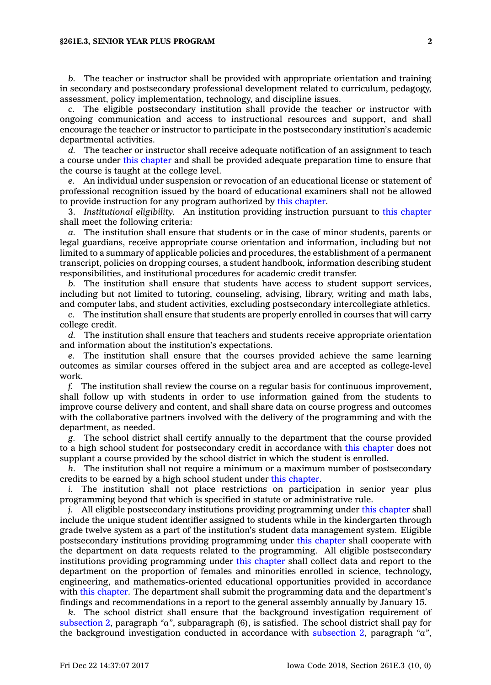## **§261E.3, SENIOR YEAR PLUS PROGRAM 2**

*b.* The teacher or instructor shall be provided with appropriate orientation and training in secondary and postsecondary professional development related to curriculum, pedagogy, assessment, policy implementation, technology, and discipline issues.

*c.* The eligible postsecondary institution shall provide the teacher or instructor with ongoing communication and access to instructional resources and support, and shall encourage the teacher or instructor to participate in the postsecondary institution's academic departmental activities.

*d.* The teacher or instructor shall receive adequate notification of an assignment to teach <sup>a</sup> course under this [chapter](https://www.legis.iowa.gov/docs/code//261E.pdf) and shall be provided adequate preparation time to ensure that the course is taught at the college level.

*e.* An individual under suspension or revocation of an educational license or statement of professional recognition issued by the board of educational examiners shall not be allowed to provide instruction for any program authorized by this [chapter](https://www.legis.iowa.gov/docs/code//261E.pdf).

3. *Institutional eligibility.* An institution providing instruction pursuant to this [chapter](https://www.legis.iowa.gov/docs/code//261E.pdf) shall meet the following criteria:

*a.* The institution shall ensure that students or in the case of minor students, parents or legal guardians, receive appropriate course orientation and information, including but not limited to <sup>a</sup> summary of applicable policies and procedures, the establishment of <sup>a</sup> permanent transcript, policies on dropping courses, <sup>a</sup> student handbook, information describing student responsibilities, and institutional procedures for academic credit transfer.

*b.* The institution shall ensure that students have access to student support services, including but not limited to tutoring, counseling, advising, library, writing and math labs, and computer labs, and student activities, excluding postsecondary intercollegiate athletics.

*c.* The institution shall ensure that students are properly enrolled in courses that will carry college credit.

*d.* The institution shall ensure that teachers and students receive appropriate orientation and information about the institution's expectations.

*e.* The institution shall ensure that the courses provided achieve the same learning outcomes as similar courses offered in the subject area and are accepted as college-level work.

*f.* The institution shall review the course on <sup>a</sup> regular basis for continuous improvement, shall follow up with students in order to use information gained from the students to improve course delivery and content, and shall share data on course progress and outcomes with the collaborative partners involved with the delivery of the programming and with the department, as needed.

*g.* The school district shall certify annually to the department that the course provided to <sup>a</sup> high school student for postsecondary credit in accordance with this [chapter](https://www.legis.iowa.gov/docs/code//261E.pdf) does not supplant <sup>a</sup> course provided by the school district in which the student is enrolled.

*h.* The institution shall not require <sup>a</sup> minimum or <sup>a</sup> maximum number of postsecondary credits to be earned by <sup>a</sup> high school student under this [chapter](https://www.legis.iowa.gov/docs/code//261E.pdf).

*i.* The institution shall not place restrictions on participation in senior year plus programming beyond that which is specified in statute or administrative rule.

*j.* All eligible postsecondary institutions providing programming under this [chapter](https://www.legis.iowa.gov/docs/code//261E.pdf) shall include the unique student identifier assigned to students while in the kindergarten through grade twelve system as <sup>a</sup> part of the institution's student data management system. Eligible postsecondary institutions providing programming under this [chapter](https://www.legis.iowa.gov/docs/code//261E.pdf) shall cooperate with the department on data requests related to the programming. All eligible postsecondary institutions providing programming under this [chapter](https://www.legis.iowa.gov/docs/code//261E.pdf) shall collect data and report to the department on the proportion of females and minorities enrolled in science, technology, engineering, and mathematics-oriented educational opportunities provided in accordance with this [chapter](https://www.legis.iowa.gov/docs/code//261E.pdf). The department shall submit the programming data and the department's findings and recommendations in <sup>a</sup> report to the general assembly annually by January 15.

*k.* The school district shall ensure that the background investigation requirement of [subsection](https://www.legis.iowa.gov/docs/code/261E.3.pdf) 2, paragraph *"a"*, subparagraph (6), is satisfied. The school district shall pay for the background investigation conducted in accordance with [subsection](https://www.legis.iowa.gov/docs/code/261E.3.pdf) 2, paragraph *"a"*,